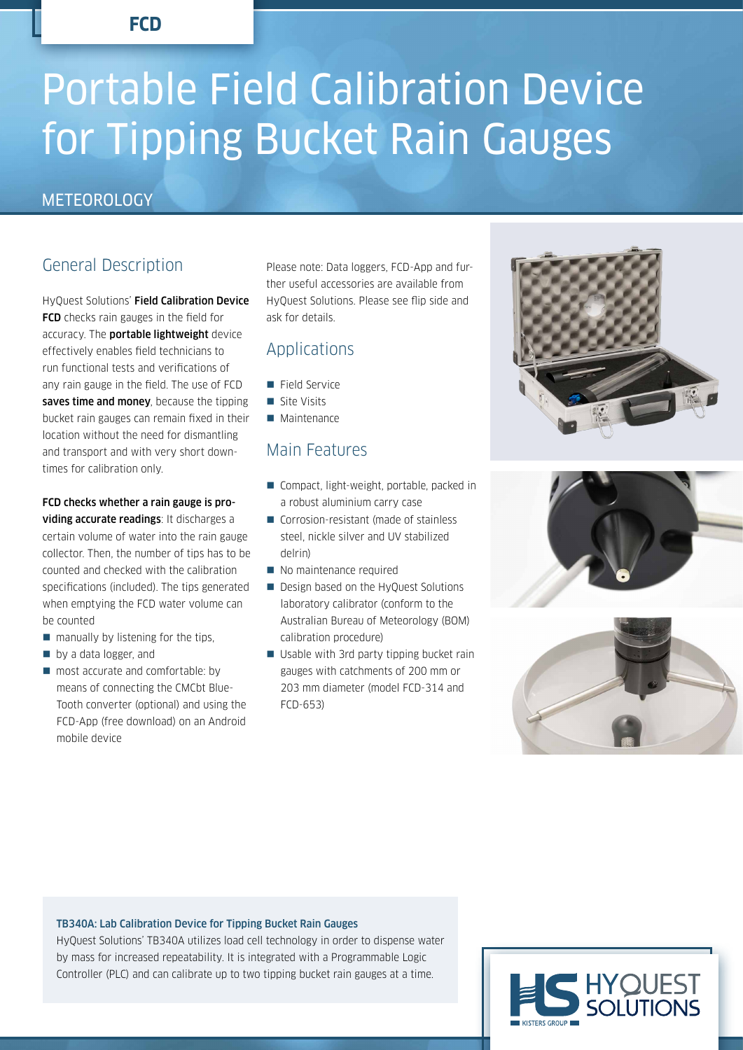**FCD**

# Portable Field Calibration Device for Tipping Bucket Rain Gauges

## **METEOROLOGY**

# General Description

HyQuest Solutions' Field Calibration Device **FCD** checks rain gauges in the field for accuracy. The **portable lightweight** device effectively enables field technicians to run functional tests and verifications of any rain gauge in the field. The use of FCD saves time and money, because the tipping bucket rain gauges can remain fixed in their location without the need for dismantling and transport and with very short downtimes for calibration only.

### FCD checks whether a rain gauge is providing accurate readings: It discharges a

certain volume of water into the rain gauge collector. Then, the number of tips has to be counted and checked with the calibration specifications (included). The tips generated when emptying the FCD water volume can be counted

- $\blacksquare$  manually by listening for the tips,
- by a data logger, and
- most accurate and comfortable: by means of connecting the CMCbt Blue-Tooth converter (optional) and using the FCD-App (free download) on an Android mobile device

Please note: Data loggers, FCD-App and further useful accessories are available from HyQuest Solutions. Please see flip side and ask for details.

## Applications

- **Field Service**
- Site Visits
- **Maintenance**

## Main Features

- Compact, light-weight, portable, packed in a robust aluminium carry case
- Corrosion-resistant (made of stainless steel, nickle silver and UV stabilized delrin)
- No maintenance required
- Design based on the HyQuest Solutions laboratory calibrator (conform to the Australian Bureau of Meteorology (BOM) calibration procedure)
- Usable with 3rd party tipping bucket rain gauges with catchments of 200 mm or 203 mm diameter (model FCD-314 and FCD-653)







#### TB340A: Lab Calibration Device for Tipping Bucket Rain Gauges

HyQuest Solutions' TB340A utilizes load cell technology in order to dispense water by mass for increased repeatability. It is integrated with a Programmable Logic Controller (PLC) and can calibrate up to two tipping bucket rain gauges at a time.